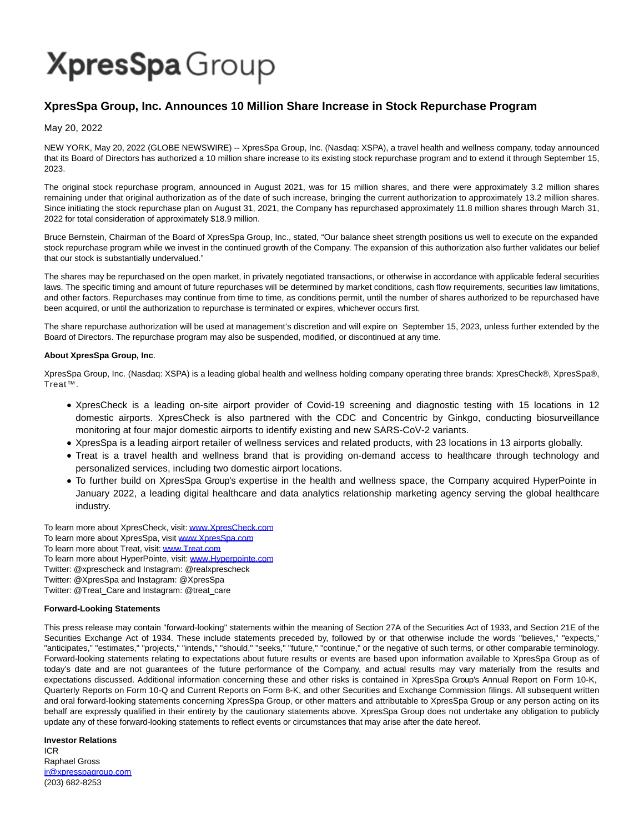# **XpresSpa** Group

## **XpresSpa Group, Inc. Announces 10 Million Share Increase in Stock Repurchase Program**

May 20, 2022

NEW YORK, May 20, 2022 (GLOBE NEWSWIRE) -- XpresSpa Group, Inc. (Nasdaq: XSPA), a travel health and wellness company, today announced that its Board of Directors has authorized a 10 million share increase to its existing stock repurchase program and to extend it through September 15, 2023.

The original stock repurchase program, announced in August 2021, was for 15 million shares, and there were approximately 3.2 million shares remaining under that original authorization as of the date of such increase, bringing the current authorization to approximately 13.2 million shares. Since initiating the stock repurchase plan on August 31, 2021, the Company has repurchased approximately 11.8 million shares through March 31, 2022 for total consideration of approximately \$18.9 million.

Bruce Bernstein, Chairman of the Board of XpresSpa Group, Inc., stated, "Our balance sheet strength positions us well to execute on the expanded stock repurchase program while we invest in the continued growth of the Company. The expansion of this authorization also further validates our belief that our stock is substantially undervalued."

The shares may be repurchased on the open market, in privately negotiated transactions, or otherwise in accordance with applicable federal securities laws. The specific timing and amount of future repurchases will be determined by market conditions, cash flow requirements, securities law limitations, and other factors. Repurchases may continue from time to time, as conditions permit, until the number of shares authorized to be repurchased have been acquired, or until the authorization to repurchase is terminated or expires, whichever occurs first.

The share repurchase authorization will be used at management's discretion and will expire on September 15, 2023, unless further extended by the Board of Directors. The repurchase program may also be suspended, modified, or discontinued at any time.

### **About XpresSpa Group, Inc**.

XpresSpa Group, Inc. (Nasdaq: XSPA) is a leading global health and wellness holding company operating three brands: XpresCheck®, XpresSpa®, Treat™.

- XpresCheck is a leading on-site airport provider of Covid-19 screening and diagnostic testing with 15 locations in 12 domestic airports. XpresCheck is also partnered with the CDC and Concentric by Ginkgo, conducting biosurveillance monitoring at four major domestic airports to identify existing and new SARS-CoV-2 variants.
- XpresSpa is a leading airport retailer of wellness services and related products, with 23 locations in 13 airports globally.
- Treat is a travel health and wellness brand that is providing on-demand access to healthcare through technology and personalized services, including two domestic airport locations.
- To further build on XpresSpa Group's expertise in the health and wellness space, the Company acquired HyperPointe in January 2022, a leading digital healthcare and data analytics relationship marketing agency serving the global healthcare industry.

To learn more about XpresCheck, visit[: www.XpresCheck.com](http://www.xprescheck.com/) To learn more about XpresSpa, visit [www.XpresSpa.com](http://www.xpresspa.com/) To learn more about Treat, visit[: www.Treat.com](http://www.treat.com/) To learn more about HyperPointe, visit: [www.Hyperpointe.com](http://www.hyperpointe.com/) Twitter: @xprescheck and Instagram: @realxprescheck Twitter: @XpresSpa and Instagram: @XpresSpa Twitter: @Treat\_Care and Instagram: @treat\_care

### **Forward-Looking Statements**

This press release may contain "forward-looking" statements within the meaning of Section 27A of the Securities Act of 1933, and Section 21E of the Securities Exchange Act of 1934. These include statements preceded by, followed by or that otherwise include the words "believes," "expects," "anticipates," "estimates," "projects," "intends," "should," "seeks," "future," "continue," or the negative of such terms, or other comparable terminology. Forward-looking statements relating to expectations about future results or events are based upon information available to XpresSpa Group as of today's date and are not guarantees of the future performance of the Company, and actual results may vary materially from the results and expectations discussed. Additional information concerning these and other risks is contained in XpresSpa Group's Annual Report on Form 10-K, Quarterly Reports on Form 10-Q and Current Reports on Form 8-K, and other Securities and Exchange Commission filings. All subsequent written and oral forward-looking statements concerning XpresSpa Group, or other matters and attributable to XpresSpa Group or any person acting on its behalf are expressly qualified in their entirety by the cautionary statements above. XpresSpa Group does not undertake any obligation to publicly update any of these forward-looking statements to reflect events or circumstances that may arise after the date hereof.

#### **Investor Relations**

ICR Raphael Gross [ir@xpresspagroup.com](mailto:ir@xpresspagroup.com) (203) 682-8253